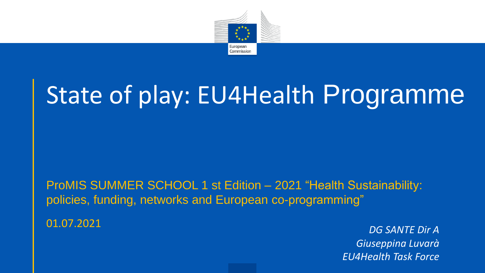

# State of play: EU4Health Programme

ProMIS SUMMER SCHOOL 1 st Edition – 2021 "Health Sustainability: policies, funding, networks and European co-programming"

01.07.2021 *DG SANTE Dir A Giuseppina Luvarà EU4Health Task Force*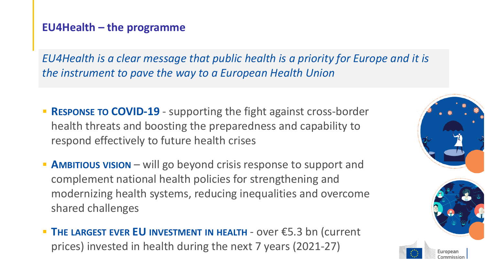#### **EU4Health – the programme**

*EU4Health is a clear message that public health is a priority for Europe and it is the instrument to pave the way to a European Health Union* 

- **RESPONSE TO COVID-19** supporting the fight against cross-border health threats and boosting the preparedness and capability to respond effectively to future health crises
- **E** AMBITIOUS VISION will go beyond crisis response to support and complement national health policies for strengthening and modernizing health systems, reducing inequalities and overcome shared challenges
- **THE LARGEST EVER EU INVESTMENT IN HEALTH** over €5.3 bn (current prices) invested in health during the next 7 years (2021-27)

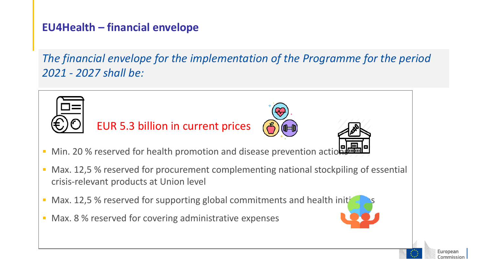### **EU4Health – financial envelope**

*The financial envelope for the implementation of the Programme for the period 2021 - 2027 shall be:*



EUR 5.3 billion in current prices





- Min. 20 % reserved for health promotion and disease prevention actions
- Max. 12,5 % reserved for procurement complementing national stockpiling of essential crisis-relevant products at Union level
- Max. 12,5 % reserved for supporting global commitments and health initiative
- Max. 8 % reserved for covering administrative expenses



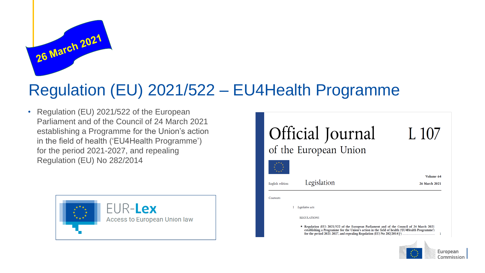

# Regulation (EU) 2021/522 – EU4Health Programme

• Regulation (EU) 2021/522 of the European Parliament and of the Council of 24 March 2021 establishing a Programme for the Union's action in the field of health ('EU4Health Programme') for the period 2021-2027, and repealing Regulation (EU) No 282/2014





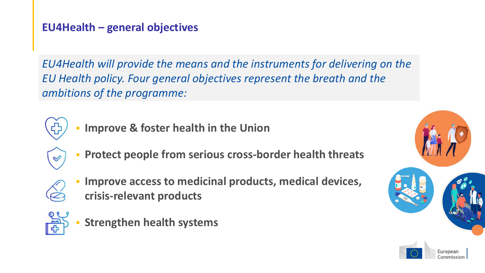#### **EU4Health – general objectives**

*EU4Health will provide the means and the instruments for delivering on the EU Health policy. Four general objectives represent the breath and the ambitions of the programme:*



- **Improve & foster health in the Union**
- $\mathscr Q$
- **Protect people from serious cross-border health threats**



**Improve access to medicinal products, medical devices, crisis-relevant products**



**Strengthen health systems** 

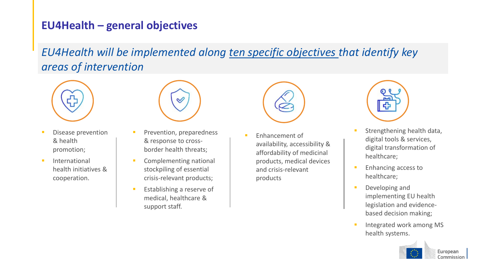#### **EU4Health – general objectives**

*EU4Health will be implemented along ten specific objectives that identify key areas of intervention*



- Disease prevention & health promotion;
- **·** International health initiatives & cooperation.



- Prevention, preparedness & response to crossborder health threats;
- **•** Complementing national stockpiling of essential crisis-relevant products;
- Establishing a reserve of medical, healthcare & support staff.



Enhancement of availability, accessibility & affordability of medicinal products, medical devices and crisis-relevant products



- Strengthening health data, digital tools & services, digital transformation of healthcare;
- **Enhancing access to** healthcare;
- Developing and implementing EU health legislation and evidencebased decision making;
- Integrated work among MS health systems.

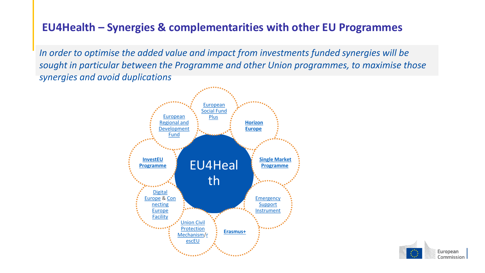### **EU4Health – Synergies & complementarities with other EU Programmes**

*In order to optimise the added value and impact from investments funded synergies will be sought in particular between the Programme and other Union programmes, to maximise those synergies and avoid duplications*



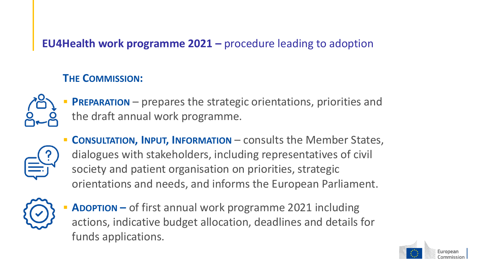### **EU4Health work programme 2021 –** procedure leading to adoption

#### **THE COMMISSION:**



**PREPARATION** – prepares the strategic orientations, priorities and the draft annual work programme.



▪ **CONSULTATION, INPUT, INFORMATION** – consults the Member States, dialogues with stakeholders, including representatives of civil society and patient organisation on priorities, strategic orientations and needs, and informs the European Parliament.



**ADOPTION** – of first annual work programme 2021 including actions, indicative budget allocation, deadlines and details for funds applications.

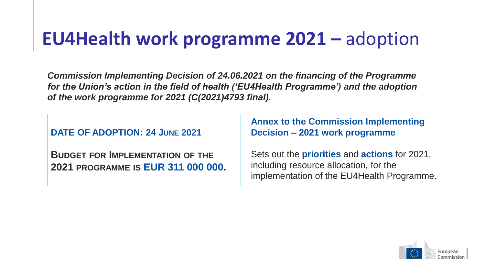# **EU4Health work programme 2021 –** adoption

*Commission Implementing Decision of 24.06.2021 on the financing of the Programme for the Union's action in the field of health ('EU4Health Programme') and the adoption of the work programme for 2021 (C(2021)4793 final).*

**DATE OF ADOPTION: 24 JUNE 2021**

**BUDGET FOR IMPLEMENTATION OF THE 2021 PROGRAMME IS EUR 311 000 000.** **Annex to the Commission Implementing Decision – 2021 work programme**

Sets out the **priorities** and **actions** for 2021, including resource allocation, for the implementation of the EU4Health Programme.

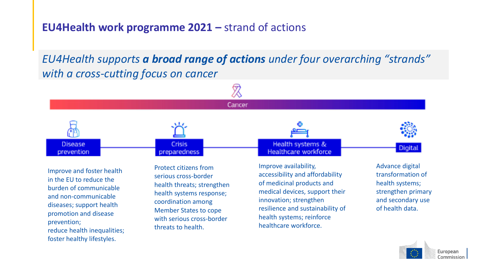#### **EU4Health work programme 2021 – strand of actions**

*EU4Health supports a broad range of actions under four overarching "strands" with a cross-cutting focus on cancer*



Improve and foster health in the EU to reduce the burden of communicable and non-communicable diseases; support health promotion and disease prevention; reduce health inequalities; foster healthy lifestyles.

Protect citizens from serious cross-border health threats; strengthen health systems response; coordination among Member States to cope with serious cross-border threats to health.

Improve availability, accessibility and affordability of medicinal products and medical devices, support their innovation; strengthen

resilience and sustainability of

health systems; reinforce healthcare workforce.

Advance digital transformation of health systems; strengthen primary and secondary use of health data.

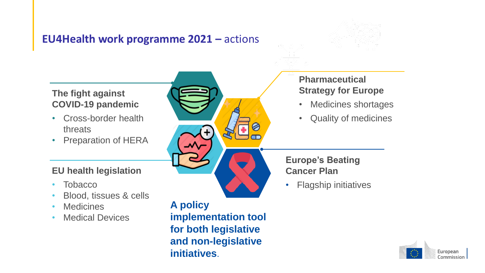#### **EU4Health work programme 2021 – actions**





• Flagship initiatives



#### **EU health legislation**

- Tobacco
- Blood, tissues & cells
- Medicines
- Medical Devices

**A policy implementation tool for both legislative and non-legislative initiatives**.

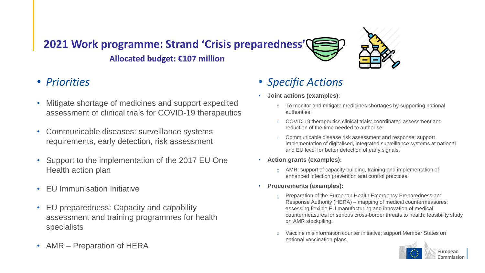# **2021 Work programme: Strand 'Crisis preparedness' Allocated budget: €107 million**



- Mitigate shortage of medicines and support expedited assessment of clinical trials for COVID-19 therapeutics
- Communicable diseases: surveillance systems requirements, early detection, risk assessment
- Support to the implementation of the 2017 EU One Health action plan
- EU Immunisation Initiative
- EU preparedness: Capacity and capability assessment and training programmes for health specialists
- AMR Preparation of HERA
- *Specific Actions*
- **Joint actions (examples)**:
	- To monitor and mitigate medicines shortages by supporting national authorities;
	- o COVID-19 therapeutics clinical trials: coordinated assessment and reduction of the time needed to authorise;
	- o Communicable disease risk assessment and response: support implementation of digitalised, integrated surveillance systems at national and EU level for better detection of early signals.
- **Action grants (examples):** 
	- o AMR: support of capacity building, training and implementation of enhanced infection prevention and control practices.
- **Procurements (examples):**
	- o Preparation of the European Health Emergency Preparedness and Response Authority (HERA) – mapping of medical countermeasures; assessing flexible EU manufacturing and innovation of medical countermeasures for serious cross-border threats to health; feasibility study on AMR stockpiling.
	- o Vaccine misinformation counter initiative; support Member States on national vaccination plans.

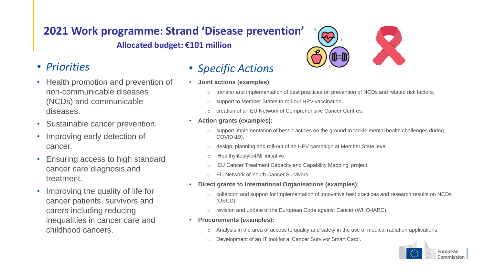### **2021 Work programme: Strand 'Disease prevention' Allocated budget: €101 million**

#### • *Priorities*

- Health promotion and prevention of non-communicable diseases (NCDs) and communicable diseases.
- Sustainable cancer prevention.
- Improving early detection of cancer.
- Ensuring access to high standard cancer care diagnosis and treatment.
- Improving the quality of life for cancer patients, survivors and carers including reducing inequalities in cancer care and childhood cancers.

#### • *Specific Actions*

- **Joint actions (examples)**:
	- transfer and implementation of best practices on prevention of NCDs and related risk factors.
	- o support to Member States to roll-out HPV vaccination.
	- creation of an EU Network of Comprehensive Cancer Centres.
- **Action grants (examples):** 
	- support implementation of best practices on the ground to tackle mental health challenges during COVID-19).
	- design, planning and roll-out of an HPV campaign at Member State level.
	- 'Healthylifestyle4All' initiative.
	- 'EU Cancer Treatment Capacity and Capability Mapping' project.
	- o EU Network of Youth Cancer Survivors
- **Direct grants to International Organisations (examples):** 
	- collection and support for implementation of innovative best practices and research results on NCDs (OECD).
	- o revision and update of the European Code against Cancer (WHO-IARC).
- **Procurements (examples):**
	- Analysis in the area of access to quality and safety in the use of medical radiation applications.
	- Development of an IT tool for a 'Cancer Survivor Smart Card'.



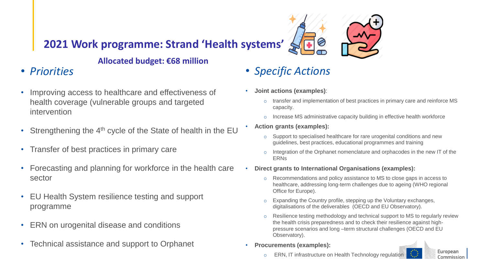### **2021 Work programme: Strand 'Health systems'**

#### **Allocated budget: €68 million**

### • *Priorities*

- Improving access to healthcare and effectiveness of health coverage (vulnerable groups and targeted intervention
- Strengthening the  $4<sup>th</sup>$  cycle of the State of health in the EU
- Transfer of best practices in primary care
- Forecasting and planning for workforce in the health care sector
- EU Health System resilience testing and support programme
- ERN on urogenital disease and conditions
- Technical assistance and support to Orphanet

# • *Specific Actions*

- **Joint actions (examples)**:
	- $\circ$  transfer and implementation of best practices in primary care and reinforce MS capacity.
	- o Increase MS administrative capacity building in effective health workforce
- **Action grants (examples):** 
	- o Support to specialised healthcare for rare urogenital conditions and new guidelines, best practices, educational programmes and training
	- $\circ$  Integration of the Orphanet nomenclature and orphacodes in the new IT of the ERNs
- **Direct grants to International Organisations (examples):** 
	- o Recommendations and policy assistance to MS to close gaps in access to healthcare, addressing long-term challenges due to ageing (WHO regional Office for Europe).
	- o Expanding the Country profile, stepping up the Voluntary exchanges, digitalisations of the deliverables (OECD and EU Observatory).
	- $\circ$  Resilience testing methodology and technical support to MS to regularly review the health crisis preparedness and to check their resilience against highpressure scenarios and long –term structural challenges (OECD and EU Observatory).
- **Procurements (examples):**



o ERN, IT infrastructure on Health Technology regulation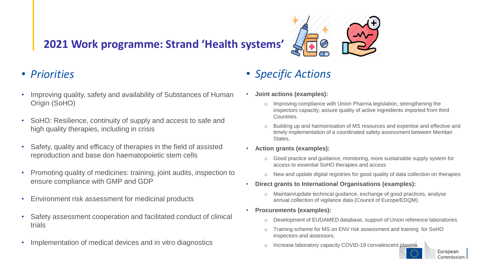## **2021 Work programme: Strand 'Health systems'**



#### • *Priorities*

- Improving quality, safety and availability of Substances of Human Origin (SoHO)
- SoHO: Resilience, continuity of supply and access to safe and high quality therapies, including in crisis
- Safety, quality and efficacy of therapies in the field of assisted reproduction and base don haematopoietic stem cells
- Promoting quality of medicines: training, joint audits, inspection to ensure compliance with GMP and GDP
- Environment risk assessment for medicinal products
- Safety assessment cooperation and facilitated conduct of clinical trials
- Implementation of medical devices and in vitro diagnostics

### • *Specific Actions*

- **Joint actions (examples):** 
	- $\circ$  Improving compliance with Union Pharma legislation, strengthening the inspectors capacity, assure quality of active ingredients imported from third Countries.
	- o Building up and harmonisation of MS resources and expertise and effective and timely implementation of a coordinated safety assessment between Member States.
- **Action grants (examples):** 
	- $\circ$  Good practice and quidance, monitoring, more sustainable supply system for access to essential SoHO therapies and access
	- $\circ$  New and update digital registries for good quality of data collection on therapies
- **Direct grants to International Organisations (examples):** 
	- $\circ$  Maintain/update technical quidance, exchange of good practices, analyse annual collection of vigilance data (Council of Europe/EDQM).
- **Procurements (examples):**
	- o Development of EUDAMED database, support of Union reference laboratories
	- o Training scheme for MS on ENV risk assessment and training for SoHO inspectors and assessors.
	- Increase laboratory capacity COVID-19 convalescent plasma.



**European** Commission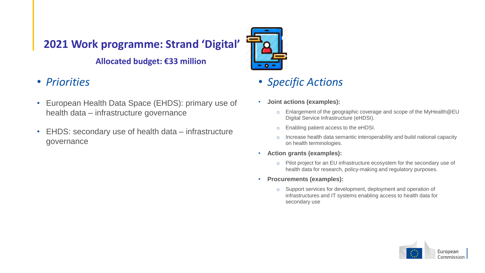## **2021 Work programme: Strand 'Digital'**

#### **Allocated budget: €33 million**

- *Priorities*
- European Health Data Space (EHDS): primary use of health data – infrastructure governance
- EHDS: secondary use of health data infrastructure governance



## • *Specific Actions*

- **Joint actions (examples):** 
	- o Enlargement of the geographic coverage and scope of the MyHealth@EU Digital Service Infrastructure (eHDSI).
	- o Enabling patient access to the eHDSI.
	- o Increase health data semantic interoperability and build national capacity on health terminologies.
- **Action grants (examples):** 
	- o Pilot project for an EU infrastructure ecosystem for the secondary use of health data for research, policy-making and regulatory purposes.
- **Procurements (examples):**
	- o Support services for development, deployment and operation of infrastructures and IT systems enabling access to health data for secondary use

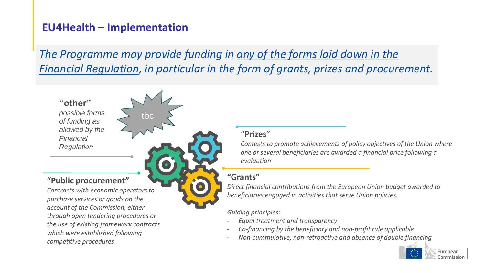#### **EU4Health – Implementation**

tbc

*The Programme may provide funding in any of the forms laid down in the Financial Regulation, in particular in the form of grants, prizes and procurement.* 

#### **"other"** *possible forms*

*of funding as allowed by the Financial Regulation*

#### **"Public procurement"**

*Contracts with economic operators to purchase services or goods on the account of the Commission, either through open tendering procedures or the use of existing framework contracts which were established following competitive procedures*

#### "**Prizes**"

*Contests to promote achievements of policy objectives of the Union where one or several beneficiaries are awarded a financial price following a evaluation*

#### **"Grants"**

*Direct financial contributions from the European Union budget awarded to beneficiaries engaged in activities that serve Union policies.*

*Guiding principles:*

- *Equal treatment and transparency*
- *Co-financing by the beneficiary and non-profit rule applicable*
- *Non-cummulative, non-retroactive and absence of double financing*

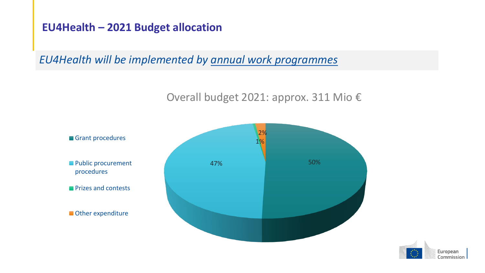#### **EU4Health – 2021 Budget allocation**

*EU4Health will be implemented by annual work programmes*

#### Overall budget 2021: approx. 311 Mio €



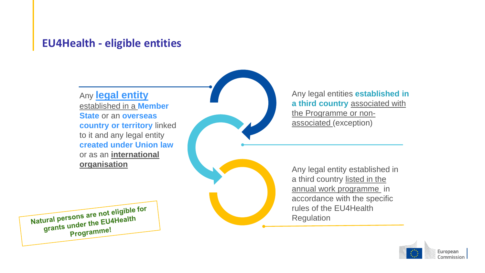#### **EU4Health - eligible entities**

Any **legal entity**  established in a **Member State** or an **overseas country or territory** linked to it and any legal entity **created under Union law**  or as an **international organisation**

Any legal entities **established in a third country** associated with the Programme or nonassociated (exception)

Any legal entity established in a third country listed in the annual work programme in accordance with the specific rules of the EU4Health Regulation



Natural persons are not eligible for tural persons are not engine<br>grants under the EU4Health Programme!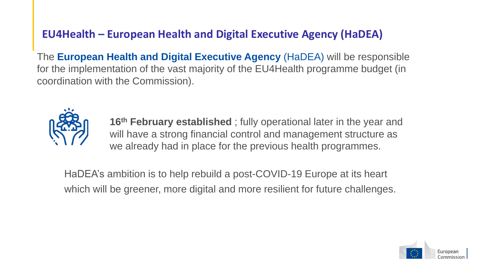#### **EU4Health – European Health and Digital Executive Agency (HaDEA)**

The **European Health and Digital Executive Agency** (HaDEA) will be responsible for the implementation of the vast majority of the EU4Health programme budget (in coordination with the Commission).



**16th February established** ; fully operational later in the year and will have a strong financial control and management structure as we already had in place for the previous health programmes.

HaDEA's ambition is to help rebuild a post-COVID-19 Europe at its heart which will be greener, more digital and more resilient for future challenges.

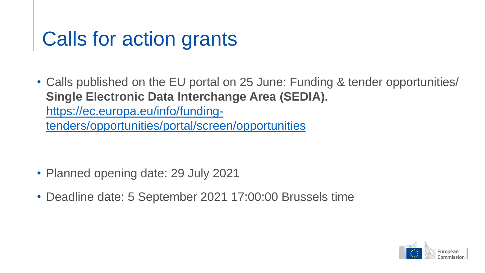# Calls for action grants

• Calls published on the EU portal on 25 June: Funding & tender opportunities/ **Single Electronic Data Interchange Area (SEDIA).**  https://ec.europa.eu/info/funding[tenders/opportunities/portal/screen/opportunities](https://ec.europa.eu/info/funding-tenders/opportunities/portal/screen/opportunities)

- Planned opening date: 29 July 2021
- Deadline date: 5 September 2021 17:00:00 Brussels time

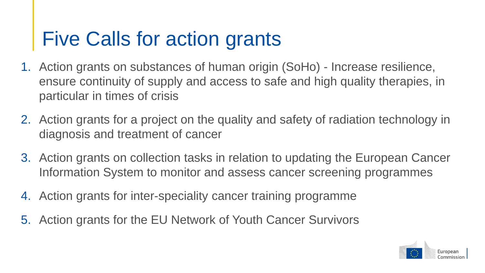# Five Calls for action grants

- 1. Action grants on substances of human origin (SoHo) Increase resilience, ensure continuity of supply and access to safe and high quality therapies, in particular in times of crisis
- 2. Action grants for a project on the quality and safety of radiation technology in diagnosis and treatment of cancer
- 3. Action grants on collection tasks in relation to updating the European Cancer Information System to monitor and assess cancer screening programmes
- 4. Action grants for inter-speciality cancer training programme
- 5. Action grants for the EU Network of Youth Cancer Survivors

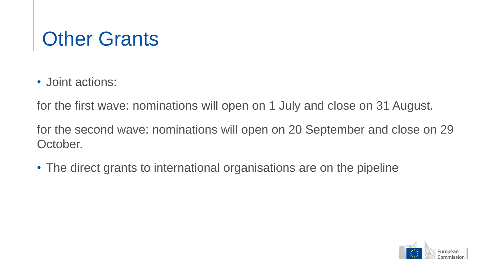# **Other Grants**

• Joint actions:

for the first wave: nominations will open on 1 July and close on 31 August.

for the second wave: nominations will open on 20 September and close on 29 October.

• The direct grants to international organisations are on the pipeline